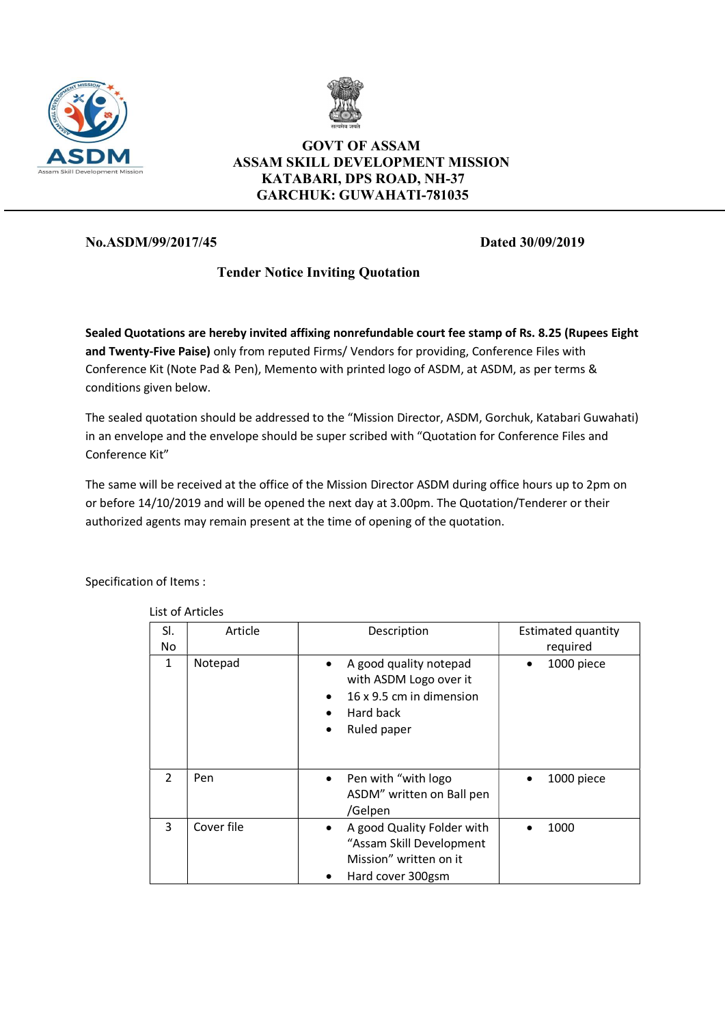



## GOVT OF ASSAM ASSAM SKILL DEVELOPMENT MISSION KATABARI, DPS ROAD, NH-37 GARCHUK: GUWAHATI-781035

## No.ASDM/99/2017/45 Dated 30/09/2019

# Tender Notice Inviting Quotation

Sealed Quotations are hereby invited affixing nonrefundable court fee stamp of Rs. 8.25 (Rupees Eight and Twenty-Five Paise) only from reputed Firms/ Vendors for providing, Conference Files with Conference Kit (Note Pad & Pen), Memento with printed logo of ASDM, at ASDM, as per terms & conditions given below.

The sealed quotation should be addressed to the "Mission Director, ASDM, Gorchuk, Katabari Guwahati) in an envelope and the envelope should be super scribed with "Quotation for Conference Files and Conference Kit"

The same will be received at the office of the Mission Director ASDM during office hours up to 2pm on or before 14/10/2019 and will be opened the next day at 3.00pm. The Quotation/Tenderer or their authorized agents may remain present at the time of opening of the quotation.

Specification of Items :

| SI.<br>No     | Article    | Description                                                                                                                        | <b>Estimated quantity</b><br>required |  |  |  |
|---------------|------------|------------------------------------------------------------------------------------------------------------------------------------|---------------------------------------|--|--|--|
| $\mathbf{1}$  | Notepad    | A good quality notepad<br>$\bullet$<br>with ASDM Logo over it<br>16 x 9.5 cm in dimension<br>Hard back<br>Ruled paper<br>$\bullet$ | 1000 piece<br>$\bullet$               |  |  |  |
| $\mathcal{P}$ | Pen        | Pen with "with logo"<br>$\bullet$<br>ASDM" written on Ball pen<br>/Gelpen                                                          | 1000 piece<br>$\bullet$               |  |  |  |
| 3             | Cover file | A good Quality Folder with<br>٠<br>"Assam Skill Development<br>Mission" written on it<br>Hard cover 300gsm<br>$\bullet$            | 1000                                  |  |  |  |

List of Articles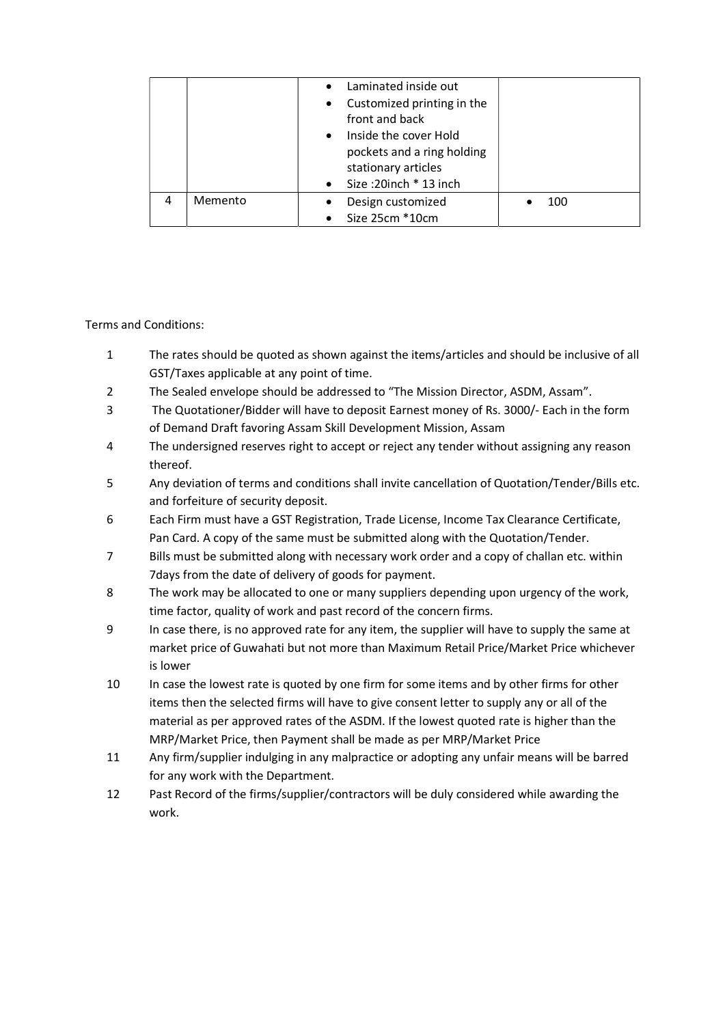|   |         | Laminated inside out<br>$\bullet$<br>Customized printing in the<br>$\bullet$<br>front and back<br>Inside the cover Hold<br>$\bullet$<br>pockets and a ring holding<br>stationary articles<br>Size:20inch * 13 inch<br>$\bullet$ |     |
|---|---------|---------------------------------------------------------------------------------------------------------------------------------------------------------------------------------------------------------------------------------|-----|
| 4 | Memento | Design customized<br>$\bullet$                                                                                                                                                                                                  | 100 |
|   |         | Size 25cm *10cm<br>$\bullet$                                                                                                                                                                                                    |     |

### Terms and Conditions:

- 1 The rates should be quoted as shown against the items/articles and should be inclusive of all GST/Taxes applicable at any point of time.
- 2 The Sealed envelope should be addressed to "The Mission Director, ASDM, Assam".
- 3 The Quotationer/Bidder will have to deposit Earnest money of Rs. 3000/- Each in the form of Demand Draft favoring Assam Skill Development Mission, Assam
- 4 The undersigned reserves right to accept or reject any tender without assigning any reason thereof.
- 5 Any deviation of terms and conditions shall invite cancellation of Quotation/Tender/Bills etc. and forfeiture of security deposit.
- 6 Each Firm must have a GST Registration, Trade License, Income Tax Clearance Certificate, Pan Card. A copy of the same must be submitted along with the Quotation/Tender.
- 7 Bills must be submitted along with necessary work order and a copy of challan etc. within 7days from the date of delivery of goods for payment.
- 8 The work may be allocated to one or many suppliers depending upon urgency of the work, time factor, quality of work and past record of the concern firms.
- 9 In case there, is no approved rate for any item, the supplier will have to supply the same at market price of Guwahati but not more than Maximum Retail Price/Market Price whichever is lower
- 10 In case the lowest rate is quoted by one firm for some items and by other firms for other items then the selected firms will have to give consent letter to supply any or all of the material as per approved rates of the ASDM. If the lowest quoted rate is higher than the MRP/Market Price, then Payment shall be made as per MRP/Market Price
- 11 Any firm/supplier indulging in any malpractice or adopting any unfair means will be barred for any work with the Department.
- 12 Past Record of the firms/supplier/contractors will be duly considered while awarding the work.